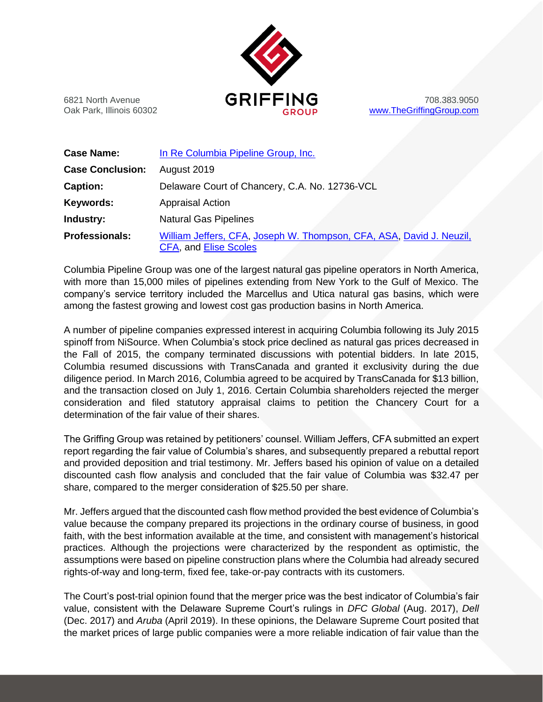

Oak Park, Illinois 60302 **but a compare to contain the Group** [www.TheGriffingGroup.com](http://www.thegriffinggroup.com/)

| <b>Case Name:</b>       | In Re Columbia Pipeline Group, Inc.                                                                  |
|-------------------------|------------------------------------------------------------------------------------------------------|
| <b>Case Conclusion:</b> | August 2019                                                                                          |
| <b>Caption:</b>         | Delaware Court of Chancery, C.A. No. 12736-VCL                                                       |
| Keywords:               | <b>Appraisal Action</b>                                                                              |
| Industry:               | <b>Natural Gas Pipelines</b>                                                                         |
| <b>Professionals:</b>   | William Jeffers, CFA, Joseph W. Thompson, CFA, ASA, David J. Neuzil,<br><b>CFA, and Elise Scoles</b> |

Columbia Pipeline Group was one of the largest natural gas pipeline operators in North America, with more than 15,000 miles of pipelines extending from New York to the Gulf of Mexico. The company's service territory included the Marcellus and Utica natural gas basins, which were among the fastest growing and lowest cost gas production basins in North America.

A number of pipeline companies expressed interest in acquiring Columbia following its July 2015 spinoff from NiSource. When Columbia's stock price declined as natural gas prices decreased in the Fall of 2015, the company terminated discussions with potential bidders. In late 2015, Columbia resumed discussions with TransCanada and granted it exclusivity during the due diligence period. In March 2016, Columbia agreed to be acquired by TransCanada for \$13 billion, and the transaction closed on July 1, 2016. Certain Columbia shareholders rejected the merger consideration and filed statutory appraisal claims to petition the Chancery Court for a determination of the fair value of their shares.

The Griffing Group was retained by petitioners' counsel. William Jeffers, CFA submitted an expert report regarding the fair value of Columbia's shares, and subsequently prepared a rebuttal report and provided deposition and trial testimony. Mr. Jeffers based his opinion of value on a detailed discounted cash flow analysis and concluded that the fair value of Columbia was \$32.47 per share, compared to the merger consideration of \$25.50 per share.

Mr. Jeffers argued that the discounted cash flow method provided the best evidence of Columbia's value because the company prepared its projections in the ordinary course of business, in good faith, with the best information available at the time, and consistent with management's historical practices. Although the projections were characterized by the respondent as optimistic, the assumptions were based on pipeline construction plans where the Columbia had already secured rights-of-way and long-term, fixed fee, take-or-pay contracts with its customers.

The Court's post-trial opinion found that the merger price was the best indicator of Columbia's fair value, consistent with the Delaware Supreme Court's rulings in *DFC Global* (Aug. 2017), *Dell* (Dec. 2017) and *Aruba* (April 2019). In these opinions, the Delaware Supreme Court posited that the market prices of large public companies were a more reliable indication of fair value than the